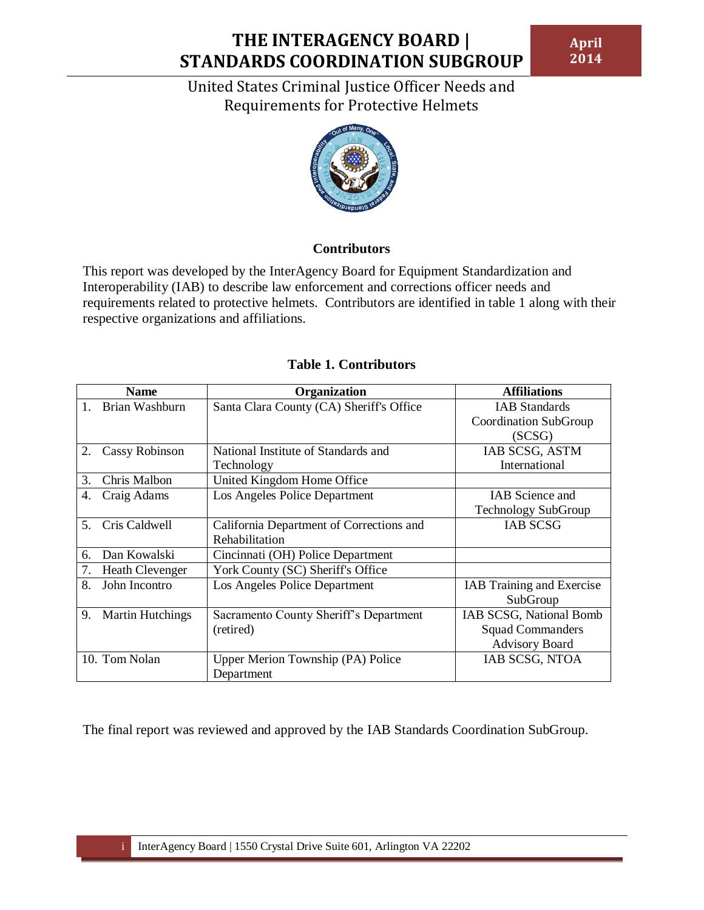**April 2014**

United States Criminal Justice Officer Needs and Requirements for Protective Helmets



### **Contributors**

This report was developed by the InterAgency Board for Equipment Standardization and Interoperability (IAB) to describe law enforcement and corrections officer needs and requirements related to protective helmets. Contributors are identified in table 1 along with their respective organizations and affiliations.

|    | <b>Name</b>             | Organization                             | <b>Affiliations</b>        |
|----|-------------------------|------------------------------------------|----------------------------|
|    | Brian Washburn          | Santa Clara County (CA) Sheriff's Office | <b>IAB</b> Standards       |
|    |                         |                                          | Coordination SubGroup      |
|    |                         |                                          | (SCSG)                     |
| 2. | <b>Cassy Robinson</b>   | National Institute of Standards and      | IAB SCSG, ASTM             |
|    |                         | Technology                               | International              |
| 3. | Chris Malbon            | United Kingdom Home Office               |                            |
| 4. | Craig Adams             | Los Angeles Police Department            | <b>IAB</b> Science and     |
|    |                         |                                          | <b>Technology SubGroup</b> |
| 5. | Cris Caldwell           | California Department of Corrections and | <b>IAB SCSG</b>            |
|    |                         | Rehabilitation                           |                            |
| б. | Dan Kowalski            | Cincinnati (OH) Police Department        |                            |
| 7. | <b>Heath Clevenger</b>  | York County (SC) Sheriff's Office        |                            |
| 8. | John Incontro           | Los Angeles Police Department            | IAB Training and Exercise  |
|    |                         |                                          | SubGroup                   |
| 9. | <b>Martin Hutchings</b> | Sacramento County Sheriff's Department   | IAB SCSG, National Bomb    |
|    |                         | (retired)                                | <b>Squad Commanders</b>    |
|    |                         |                                          | <b>Advisory Board</b>      |
|    | 10. Tom Nolan           | Upper Merion Township (PA) Police        | IAB SCSG, NTOA             |
|    |                         | Department                               |                            |

### **Table 1. Contributors**

The final report was reviewed and approved by the IAB Standards Coordination SubGroup.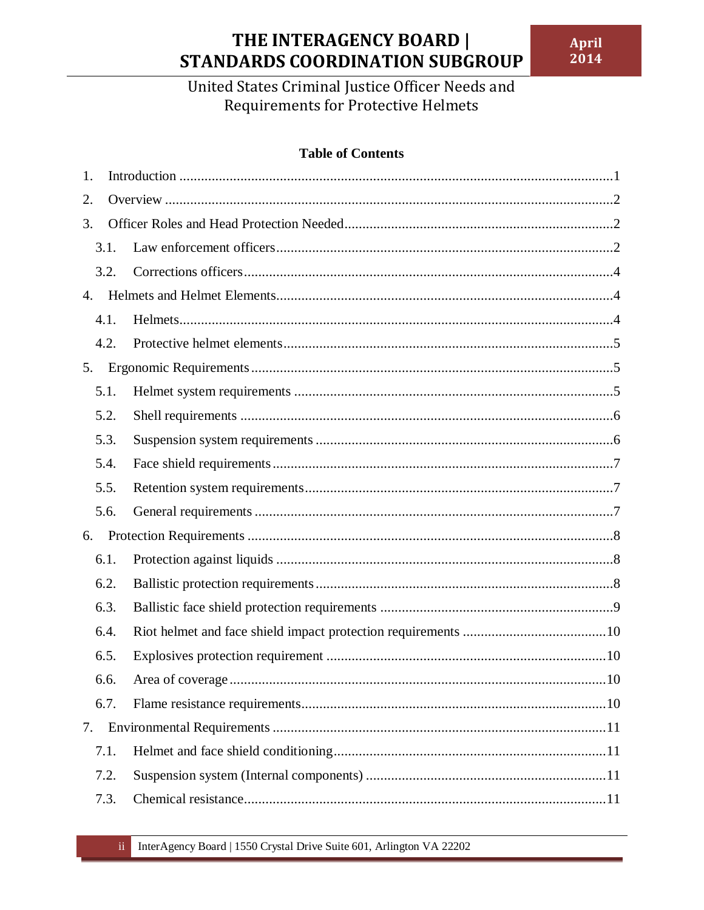United States Criminal Justice Officer Needs and Requirements for Protective Helmets

### **Table of Contents**

| 1. |      |  |  |  |  |
|----|------|--|--|--|--|
| 2. |      |  |  |  |  |
| 3. |      |  |  |  |  |
|    | 3.1. |  |  |  |  |
|    | 3.2. |  |  |  |  |
| 4. |      |  |  |  |  |
|    | 4.1. |  |  |  |  |
|    | 4.2. |  |  |  |  |
| 5. |      |  |  |  |  |
|    | 5.1. |  |  |  |  |
|    | 5.2. |  |  |  |  |
|    | 5.3. |  |  |  |  |
|    | 5.4. |  |  |  |  |
|    | 5.5. |  |  |  |  |
|    | 5.6. |  |  |  |  |
| 6. |      |  |  |  |  |
|    | 6.1. |  |  |  |  |
|    | 6.2. |  |  |  |  |
|    | 6.3. |  |  |  |  |
|    | 6.4. |  |  |  |  |
|    | 6.5. |  |  |  |  |
|    | 6.6. |  |  |  |  |
|    | 6.7. |  |  |  |  |
| 7. |      |  |  |  |  |
|    | 7.1. |  |  |  |  |
|    | 7.2. |  |  |  |  |
|    | 7.3. |  |  |  |  |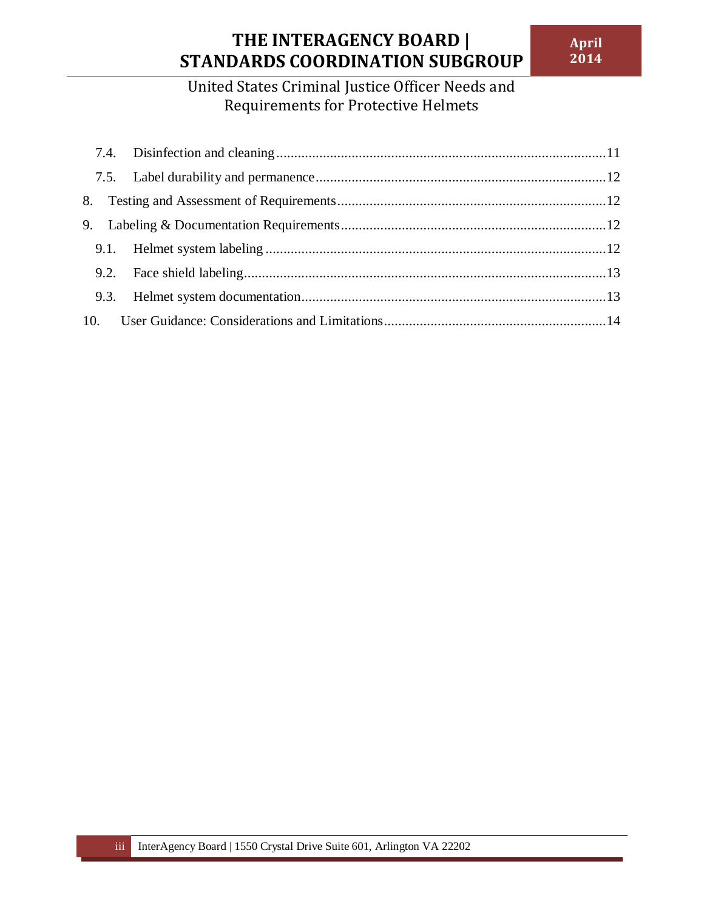## United States Criminal Justice Officer Needs and Requirements for Protective Helmets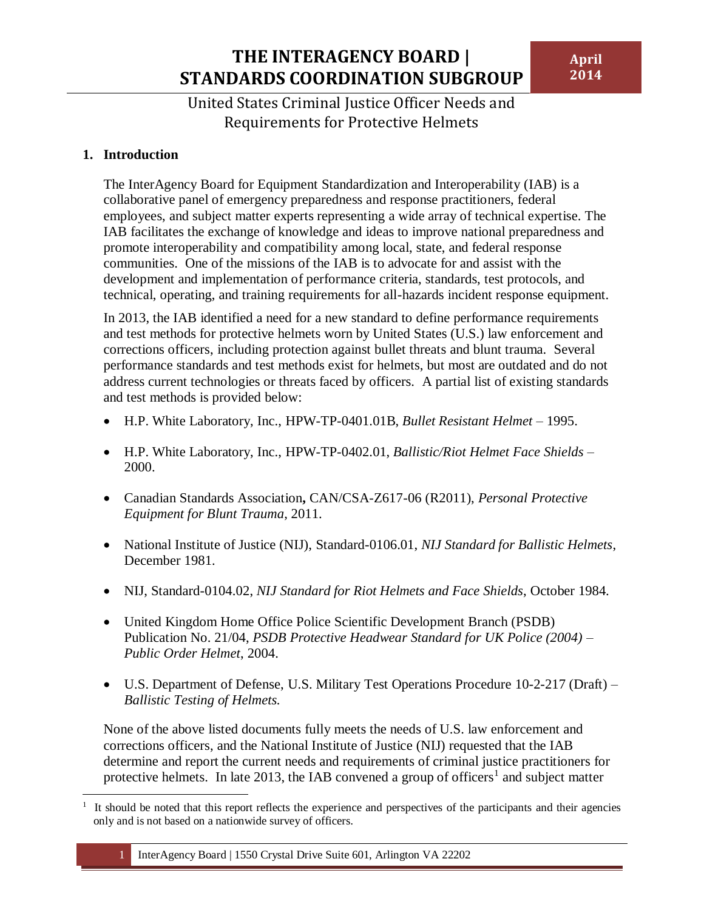United States Criminal Justice Officer Needs and Requirements for Protective Helmets

### <span id="page-3-0"></span>**1. Introduction**

The InterAgency Board for Equipment Standardization and Interoperability (IAB) is a collaborative panel of emergency preparedness and response practitioners, federal employees, and subject matter experts representing a wide array of technical expertise. The IAB facilitates the exchange of knowledge and ideas to improve national preparedness and promote interoperability and compatibility among local, state, and federal response communities. One of the missions of the IAB is to advocate for and assist with the development and implementation of performance criteria, standards, test protocols, and technical, operating, and training requirements for all-hazards incident response equipment.

In 2013, the IAB identified a need for a new standard to define performance requirements and test methods for protective helmets worn by United States (U.S.) law enforcement and corrections officers, including protection against bullet threats and blunt trauma. Several performance standards and test methods exist for helmets, but most are outdated and do not address current technologies or threats faced by officers. A partial list of existing standards and test methods is provided below:

- H.P. White Laboratory, Inc., HPW-TP-0401.01B, *Bullet Resistant Helmet* 1995.
- H.P. White Laboratory, Inc., HPW-TP-0402.01, *Ballistic/Riot Helmet Face Shields* 2000.
- Canadian Standards Association**,** CAN/CSA-Z617-06 (R2011), *Personal Protective Equipment for Blunt Trauma*, 2011.
- National Institute of Justice (NIJ), Standard-0106.01, *NIJ Standard for Ballistic Helmets*, December 1981.
- NIJ, Standard-0104.02, *NIJ Standard for Riot Helmets and Face Shields*, October 1984.
- United Kingdom Home Office Police Scientific Development Branch (PSDB) Publication No. 21/04, *PSDB Protective Headwear Standard for UK Police (2004) – Public Order Helmet*, 2004.
- U.S. Department of Defense, U.S. Military Test Operations Procedure 10-2-217 (Draft) *Ballistic Testing of Helmets.*

None of the above listed documents fully meets the needs of U.S. law enforcement and corrections officers, and the National Institute of Justice (NIJ) requested that the IAB determine and report the current needs and requirements of criminal justice practitioners for protective helmets. In late 2013, the IAB convened a group of officers<sup>1</sup> and subject matter

 $\overline{a}$ 1 It should be noted that this report reflects the experience and perspectives of the participants and their agencies only and is not based on a nationwide survey of officers.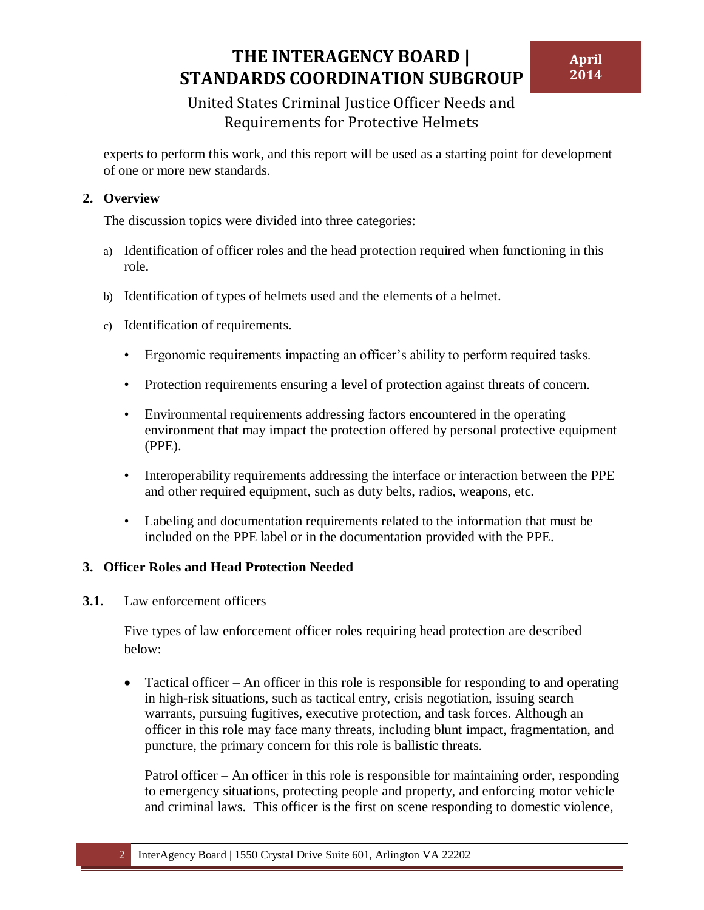### United States Criminal Justice Officer Needs and Requirements for Protective Helmets

experts to perform this work, and this report will be used as a starting point for development of one or more new standards.

### <span id="page-4-0"></span>**2. Overview**

The discussion topics were divided into three categories:

- a) Identification of officer roles and the head protection required when functioning in this role.
- b) Identification of types of helmets used and the elements of a helmet.
- c) Identification of requirements.
	- Ergonomic requirements impacting an officer's ability to perform required tasks.
	- Protection requirements ensuring a level of protection against threats of concern.
	- Environmental requirements addressing factors encountered in the operating environment that may impact the protection offered by personal protective equipment (PPE).
	- Interoperability requirements addressing the interface or interaction between the PPE and other required equipment, such as duty belts, radios, weapons, etc.
	- Labeling and documentation requirements related to the information that must be included on the PPE label or in the documentation provided with the PPE.

#### <span id="page-4-1"></span>**3. Officer Roles and Head Protection Needed**

<span id="page-4-2"></span>**3.1.** Law enforcement officers

Five types of law enforcement officer roles requiring head protection are described below:

• Tactical officer – An officer in this role is responsible for responding to and operating in high-risk situations, such as tactical entry, crisis negotiation, issuing search warrants, pursuing fugitives, executive protection, and task forces. Although an officer in this role may face many threats, including blunt impact, fragmentation, and puncture, the primary concern for this role is ballistic threats.

Patrol officer – An officer in this role is responsible for maintaining order, responding to emergency situations, protecting people and property, and enforcing motor vehicle and criminal laws. This officer is the first on scene responding to domestic violence,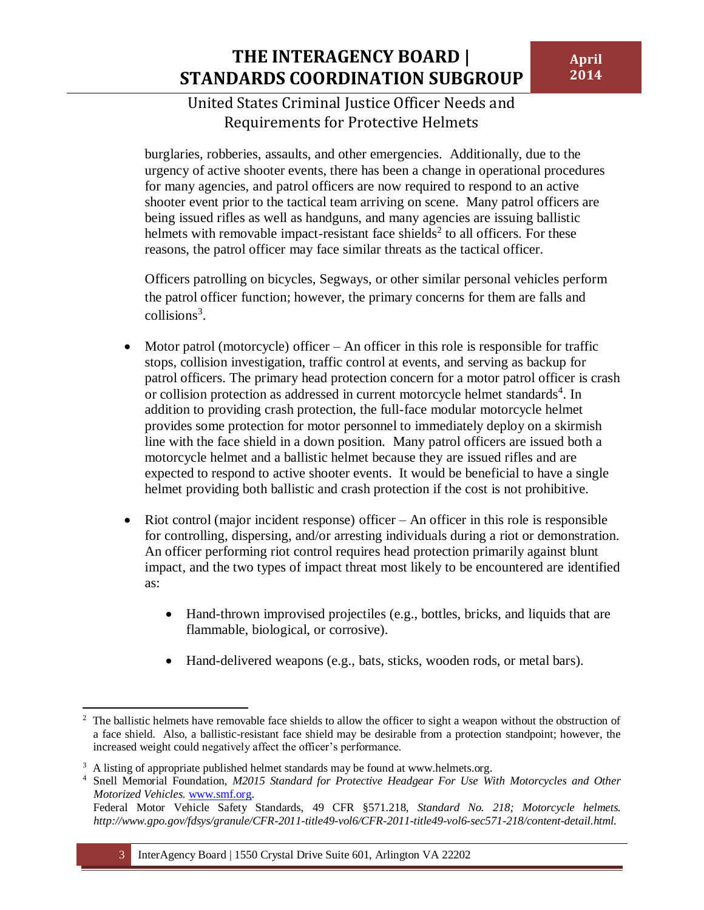burglaries, robberies, assaults, and other emergencies. Additionally, due to the urgency of active shooter events, there has been a change in operational procedures for many agencies, and patrol officers are now required to respond to an active shooter event prior to the tactical team arriving on scene. Many patrol officers are being issued rifles as well as handguns, and many agencies are issuing ballistic helmets with removable impact-resistant face shields<sup>2</sup> to all officers. For these reasons, the patrol officer may face similar threats as the tactical officer.

Officers patrolling on bicycles, Segways, or other similar personal vehicles perform the patrol officer function; however, the primary concerns for them are falls and collisions<sup>3</sup>.

- $\bullet$  Motor patrol (motorcycle) officer An officer in this role is responsible for traffic stops, collision investigation, traffic control at events, and serving as backup for patrol officers. The primary head protection concern for a motor patrol officer is crash or collision protection as addressed in current motorcycle helmet standards<sup>4</sup>. In addition to providing crash protection, the full-face modular motorcycle helmet provides some protection for motor personnel to immediately deploy on a skirmish line with the face shield in a down position. Many patrol officers are issued both a motorcycle helmet and a ballistic helmet because they are issued rifles and are expected to respond to active shooter events. It would be beneficial to have a single helmet providing both ballistic and crash protection if the cost is not prohibitive.
- Riot control (major incident response) officer An officer in this role is responsible for controlling, dispersing, and/or arresting individuals during a riot or demonstration. An officer performing riot control requires head protection primarily against blunt impact, and the two types of impact threat most likely to be encountered are identified as:
	- Hand-thrown improvised projectiles (e.g., bottles, bricks, and liquids that are flammable, biological, or corrosive).
	- Hand-delivered weapons (e.g., bats, sticks, wooden rods, or metal bars).

<sup>&</sup>lt;sup>2</sup> The ballistic helmets have removable face shields to allow the officer to sight a weapon without the obstruction of a face shield. Also, a ballistic-resistant face shield may be desirable from a protection standpoint; however, the increased weight could negatively affect the officer's performance.

<sup>&</sup>lt;sup>3</sup> A listing of appropriate published helmet standards may be found at www.helmets.org.

<sup>4</sup> Snell Memorial Foundation, *M2015 Standard for Protective Headgear For Use With Motorcycles and Other Motorized Vehicles.* [www.smf.org.](http://www.smf.org/)

Federal Motor Vehicle Safety Standards, 49 CFR §571.218, *Standard No. 218; Motorcycle helmets. http://www.gpo.gov/fdsys/granule/CFR-2011-title49-vol6/CFR-2011-title49-vol6-sec571-218/content-detail.html.*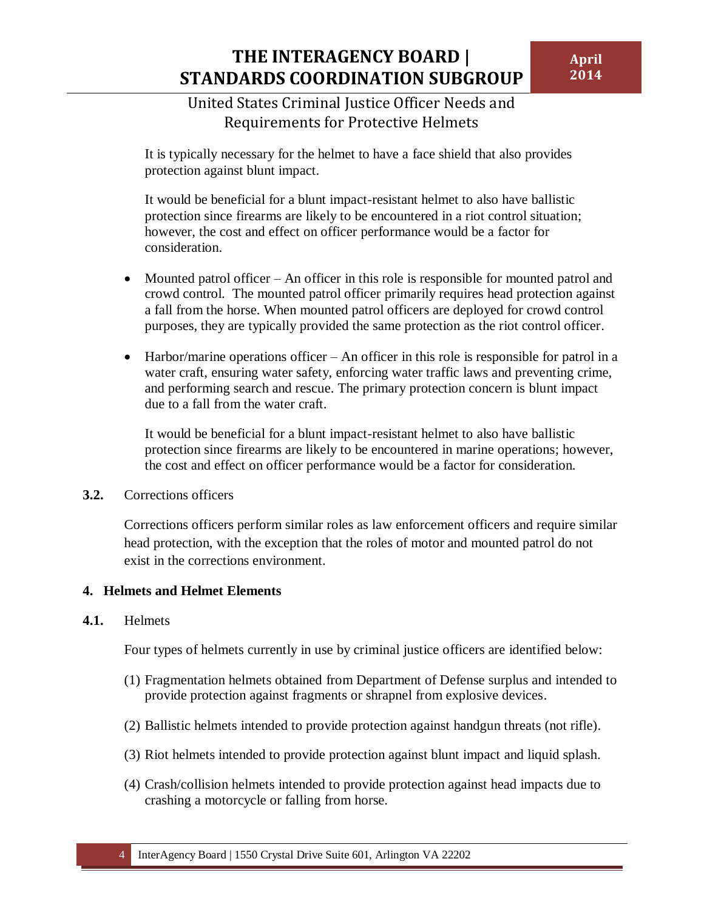It is typically necessary for the helmet to have a face shield that also provides protection against blunt impact.

It would be beneficial for a blunt impact-resistant helmet to also have ballistic protection since firearms are likely to be encountered in a riot control situation; however, the cost and effect on officer performance would be a factor for consideration.

- Mounted patrol officer An officer in this role is responsible for mounted patrol and crowd control. The mounted patrol officer primarily requires head protection against a fall from the horse. When mounted patrol officers are deployed for crowd control purposes, they are typically provided the same protection as the riot control officer.
- Harbor/marine operations officer An officer in this role is responsible for patrol in a water craft, ensuring water safety, enforcing water traffic laws and preventing crime, and performing search and rescue. The primary protection concern is blunt impact due to a fall from the water craft.

It would be beneficial for a blunt impact-resistant helmet to also have ballistic protection since firearms are likely to be encountered in marine operations; however, the cost and effect on officer performance would be a factor for consideration.

#### <span id="page-6-0"></span>**3.2.** Corrections officers

Corrections officers perform similar roles as law enforcement officers and require similar head protection, with the exception that the roles of motor and mounted patrol do not exist in the corrections environment.

### <span id="page-6-1"></span>**4. Helmets and Helmet Elements**

#### <span id="page-6-2"></span>**4.1.** Helmets

Four types of helmets currently in use by criminal justice officers are identified below:

- (1) Fragmentation helmets obtained from Department of Defense surplus and intended to provide protection against fragments or shrapnel from explosive devices.
- (2) Ballistic helmets intended to provide protection against handgun threats (not rifle).
- (3) Riot helmets intended to provide protection against blunt impact and liquid splash.
- (4) Crash/collision helmets intended to provide protection against head impacts due to crashing a motorcycle or falling from horse.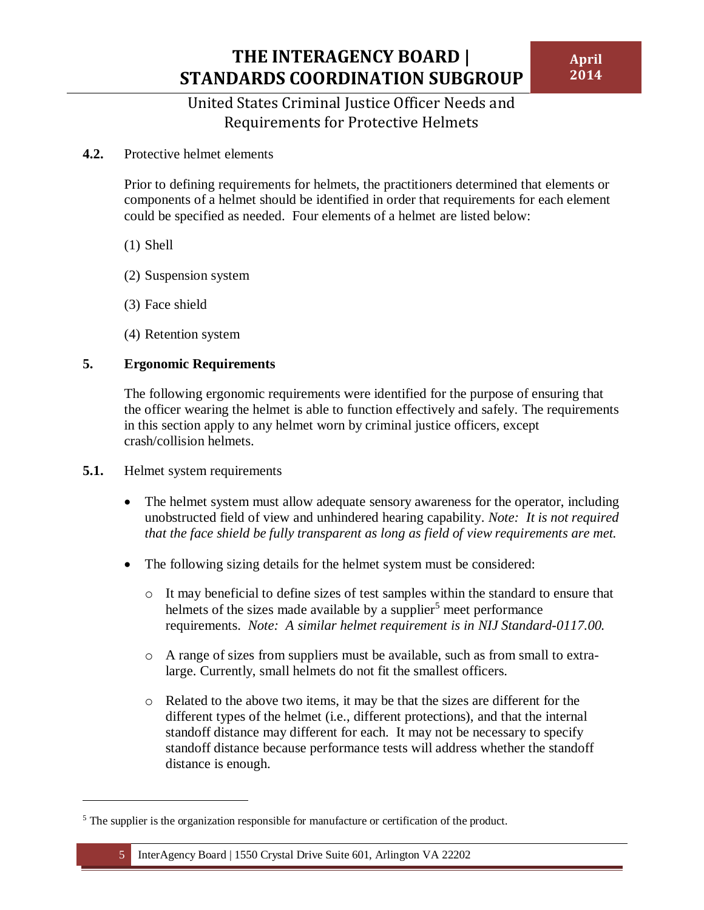United States Criminal Justice Officer Needs and Requirements for Protective Helmets

<span id="page-7-0"></span>**4.2.** Protective helmet elements

Prior to defining requirements for helmets, the practitioners determined that elements or components of a helmet should be identified in order that requirements for each element could be specified as needed. Four elements of a helmet are listed below:

(1) Shell

- (2) Suspension system
- (3) Face shield
- (4) Retention system

#### <span id="page-7-1"></span>**5. Ergonomic Requirements**

The following ergonomic requirements were identified for the purpose of ensuring that the officer wearing the helmet is able to function effectively and safely. The requirements in this section apply to any helmet worn by criminal justice officers, except crash/collision helmets.

<span id="page-7-2"></span>**5.1.** Helmet system requirements

 $\overline{\phantom{a}}$ 

- The helmet system must allow adequate sensory awareness for the operator, including unobstructed field of view and unhindered hearing capability. *Note: It is not required that the face shield be fully transparent as long as field of view requirements are met.*
- The following sizing details for the helmet system must be considered:
	- o It may beneficial to define sizes of test samples within the standard to ensure that helmets of the sizes made available by a supplier<sup>5</sup> meet performance requirements. *Note: A similar helmet requirement is in NIJ Standard-0117.00.*
	- o A range of sizes from suppliers must be available, such as from small to extralarge. Currently, small helmets do not fit the smallest officers.
	- o Related to the above two items, it may be that the sizes are different for the different types of the helmet (i.e., different protections), and that the internal standoff distance may different for each. It may not be necessary to specify standoff distance because performance tests will address whether the standoff distance is enough.

<sup>&</sup>lt;sup>5</sup> The supplier is the organization responsible for manufacture or certification of the product.

<sup>5</sup> InterAgency Board | 1550 Crystal Drive Suite 601, Arlington VA 22202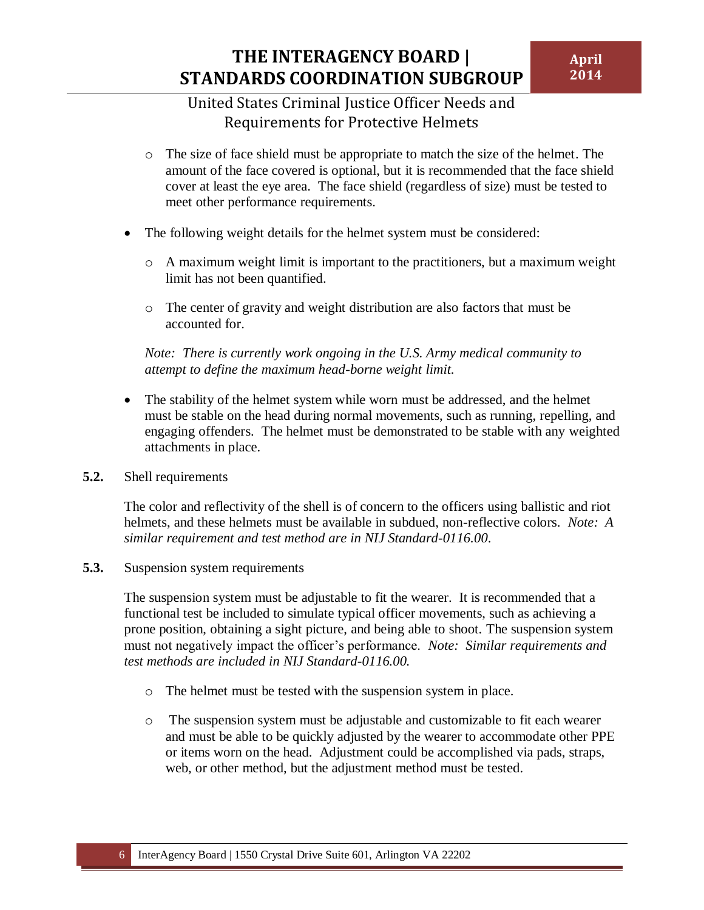- o The size of face shield must be appropriate to match the size of the helmet. The amount of the face covered is optional, but it is recommended that the face shield cover at least the eye area. The face shield (regardless of size) must be tested to meet other performance requirements.
- The following weight details for the helmet system must be considered:
	- $\circ$  A maximum weight limit is important to the practitioners, but a maximum weight limit has not been quantified.
	- o The center of gravity and weight distribution are also factors that must be accounted for.

*Note: There is currently work ongoing in the U.S. Army medical community to attempt to define the maximum head-borne weight limit.*

- The stability of the helmet system while worn must be addressed, and the helmet must be stable on the head during normal movements, such as running, repelling, and engaging offenders. The helmet must be demonstrated to be stable with any weighted attachments in place.
- <span id="page-8-0"></span>**5.2.** Shell requirements

The color and reflectivity of the shell is of concern to the officers using ballistic and riot helmets, and these helmets must be available in subdued, non-reflective colors. *Note: A similar requirement and test method are in NIJ Standard-0116.00*.

<span id="page-8-1"></span>**5.3.** Suspension system requirements

The suspension system must be adjustable to fit the wearer. It is recommended that a functional test be included to simulate typical officer movements, such as achieving a prone position, obtaining a sight picture, and being able to shoot. The suspension system must not negatively impact the officer's performance. *Note: Similar requirements and test methods are included in NIJ Standard-0116.00.*

- o The helmet must be tested with the suspension system in place.
- o The suspension system must be adjustable and customizable to fit each wearer and must be able to be quickly adjusted by the wearer to accommodate other PPE or items worn on the head. Adjustment could be accomplished via pads, straps, web, or other method, but the adjustment method must be tested.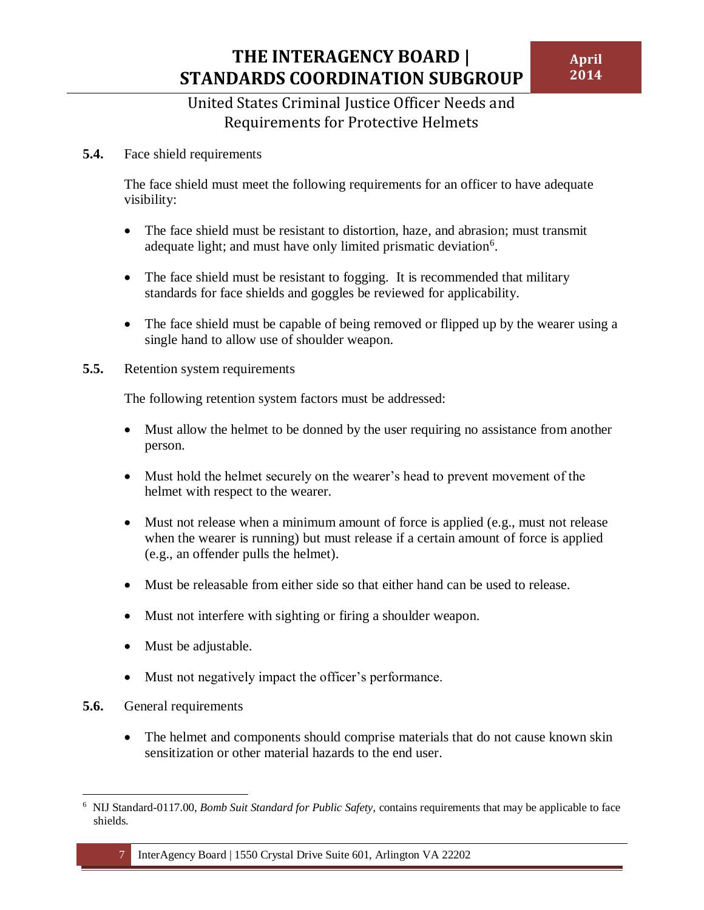### United States Criminal Justice Officer Needs and Requirements for Protective Helmets

<span id="page-9-0"></span>**5.4.** Face shield requirements

The face shield must meet the following requirements for an officer to have adequate visibility:

- The face shield must be resistant to distortion, haze, and abrasion; must transmit adequate light; and must have only limited prismatic deviation $6$ .
- The face shield must be resistant to fogging. It is recommended that military standards for face shields and goggles be reviewed for applicability.
- The face shield must be capable of being removed or flipped up by the wearer using a single hand to allow use of shoulder weapon.
- <span id="page-9-1"></span>**5.5.** Retention system requirements

The following retention system factors must be addressed:

- Must allow the helmet to be donned by the user requiring no assistance from another person.
- Must hold the helmet securely on the wearer's head to prevent movement of the helmet with respect to the wearer.
- Must not release when a minimum amount of force is applied (e.g., must not release when the wearer is running) but must release if a certain amount of force is applied (e.g., an offender pulls the helmet).
- Must be releasable from either side so that either hand can be used to release.
- Must not interfere with sighting or firing a shoulder weapon.
- Must be adjustable.
- Must not negatively impact the officer's performance.
- <span id="page-9-2"></span>**5.6.** General requirements
	- The helmet and components should comprise materials that do not cause known skin sensitization or other material hazards to the end user.

 $\overline{a}$ <sup>6</sup> NIJ Standard-0117.00, *Bomb Suit Standard for Public Safety,* contains requirements that may be applicable to face shields.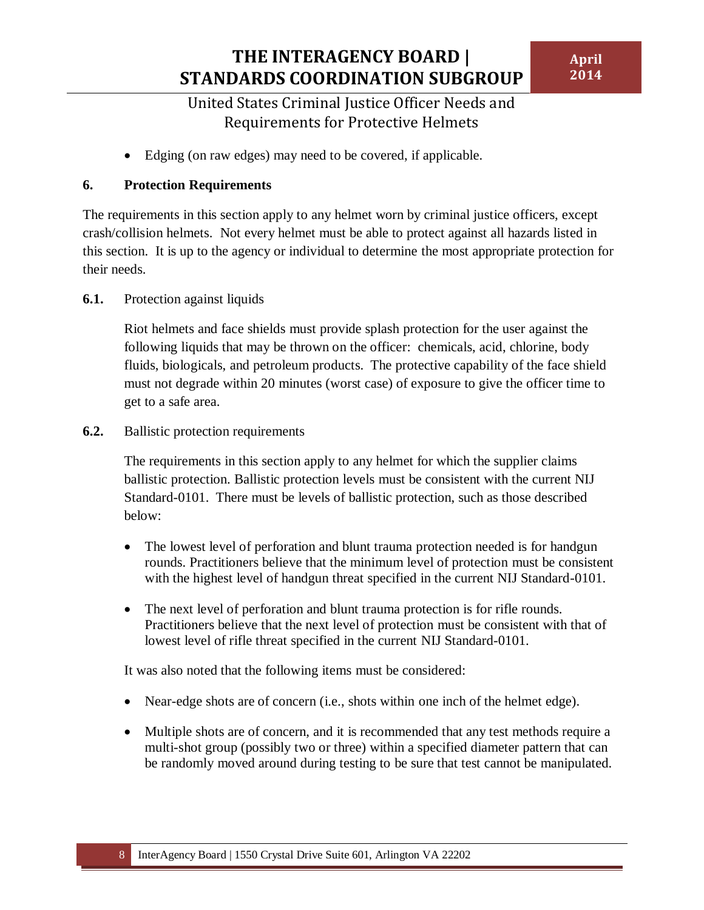Edging (on raw edges) may need to be covered, if applicable.

### <span id="page-10-0"></span>**6. Protection Requirements**

The requirements in this section apply to any helmet worn by criminal justice officers, except crash/collision helmets. Not every helmet must be able to protect against all hazards listed in this section. It is up to the agency or individual to determine the most appropriate protection for their needs.

#### <span id="page-10-1"></span>**6.1.** Protection against liquids

Riot helmets and face shields must provide splash protection for the user against the following liquids that may be thrown on the officer: chemicals, acid, chlorine, body fluids, biologicals, and petroleum products. The protective capability of the face shield must not degrade within 20 minutes (worst case) of exposure to give the officer time to get to a safe area.

#### <span id="page-10-2"></span>**6.2.** Ballistic protection requirements

The requirements in this section apply to any helmet for which the supplier claims ballistic protection. Ballistic protection levels must be consistent with the current NIJ Standard-0101. There must be levels of ballistic protection, such as those described below:

- The lowest level of perforation and blunt trauma protection needed is for handgun rounds. Practitioners believe that the minimum level of protection must be consistent with the highest level of handgun threat specified in the current NIJ Standard-0101.
- The next level of perforation and blunt trauma protection is for rifle rounds. Practitioners believe that the next level of protection must be consistent with that of lowest level of rifle threat specified in the current NIJ Standard-0101.

It was also noted that the following items must be considered:

- Near-edge shots are of concern (i.e., shots within one inch of the helmet edge).
- Multiple shots are of concern, and it is recommended that any test methods require a multi-shot group (possibly two or three) within a specified diameter pattern that can be randomly moved around during testing to be sure that test cannot be manipulated.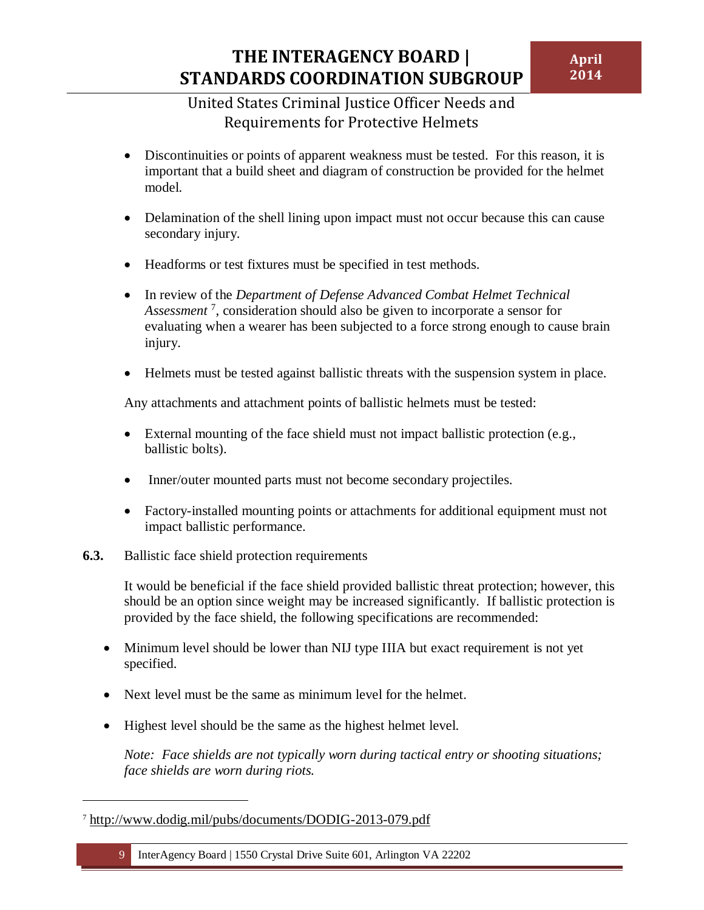- Discontinuities or points of apparent weakness must be tested. For this reason, it is important that a build sheet and diagram of construction be provided for the helmet model.
- Delamination of the shell lining upon impact must not occur because this can cause secondary injury.
- Headforms or test fixtures must be specified in test methods.
- In review of the *Department of Defense Advanced Combat Helmet Technical Assessment* <sup>7</sup> , consideration should also be given to incorporate a sensor for evaluating when a wearer has been subjected to a force strong enough to cause brain injury.
- Helmets must be tested against ballistic threats with the suspension system in place.

Any attachments and attachment points of ballistic helmets must be tested:

- External mounting of the face shield must not impact ballistic protection (e.g., ballistic bolts).
- Inner/outer mounted parts must not become secondary projectiles.
- Factory-installed mounting points or attachments for additional equipment must not impact ballistic performance.
- <span id="page-11-0"></span>**6.3.** Ballistic face shield protection requirements

It would be beneficial if the face shield provided ballistic threat protection; however, this should be an option since weight may be increased significantly. If ballistic protection is provided by the face shield, the following specifications are recommended:

- Minimum level should be lower than NIJ type IIIA but exact requirement is not yet specified.
- Next level must be the same as minimum level for the helmet.
- Highest level should be the same as the highest helmet level.

*Note: Face shields are not typically worn during tactical entry or shooting situations; face shields are worn during riots.*

 $\overline{\phantom{a}}$ 

<sup>7</sup> <http://www.dodig.mil/pubs/documents/DODIG-2013-079.pdf>

<sup>9</sup> InterAgency Board | 1550 Crystal Drive Suite 601, Arlington VA 22202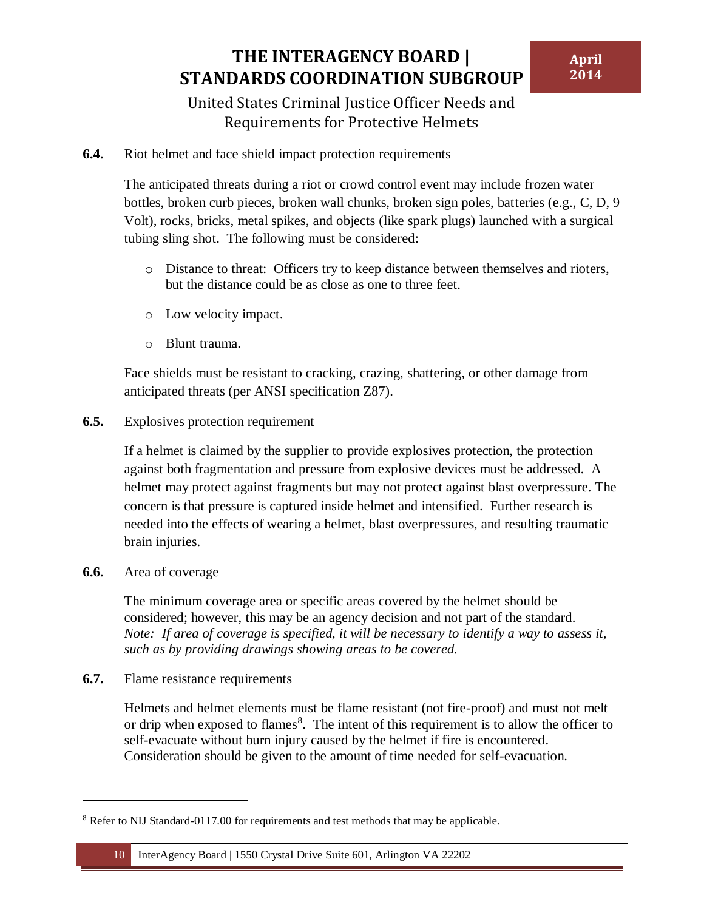<span id="page-12-0"></span>**6.4.** Riot helmet and face shield impact protection requirements

The anticipated threats during a riot or crowd control event may include frozen water bottles, broken curb pieces, broken wall chunks, broken sign poles, batteries (e.g., C, D, 9 Volt), rocks, bricks, metal spikes, and objects (like spark plugs) launched with a surgical tubing sling shot. The following must be considered:

- o Distance to threat: Officers try to keep distance between themselves and rioters, but the distance could be as close as one to three feet.
- o Low velocity impact.
- o Blunt trauma.

Face shields must be resistant to cracking, crazing, shattering, or other damage from anticipated threats (per ANSI specification Z87).

<span id="page-12-1"></span>**6.5.** Explosives protection requirement

If a helmet is claimed by the supplier to provide explosives protection, the protection against both fragmentation and pressure from explosive devices must be addressed. A helmet may protect against fragments but may not protect against blast overpressure. The concern is that pressure is captured inside helmet and intensified. Further research is needed into the effects of wearing a helmet, blast overpressures, and resulting traumatic brain injuries.

<span id="page-12-2"></span>**6.6.** Area of coverage

 $\overline{\phantom{a}}$ 

The minimum coverage area or specific areas covered by the helmet should be considered; however, this may be an agency decision and not part of the standard. *Note: If area of coverage is specified, it will be necessary to identify a way to assess it, such as by providing drawings showing areas to be covered.*

<span id="page-12-3"></span>**6.7.** Flame resistance requirements

Helmets and helmet elements must be flame resistant (not fire-proof) and must not melt or drip when exposed to flames<sup>8</sup>. The intent of this requirement is to allow the officer to self-evacuate without burn injury caused by the helmet if fire is encountered. Consideration should be given to the amount of time needed for self-evacuation.

<sup>8</sup> Refer to NIJ Standard-0117.00 for requirements and test methods that may be applicable.

<sup>10</sup> InterAgency Board | 1550 Crystal Drive Suite 601, Arlington VA 22202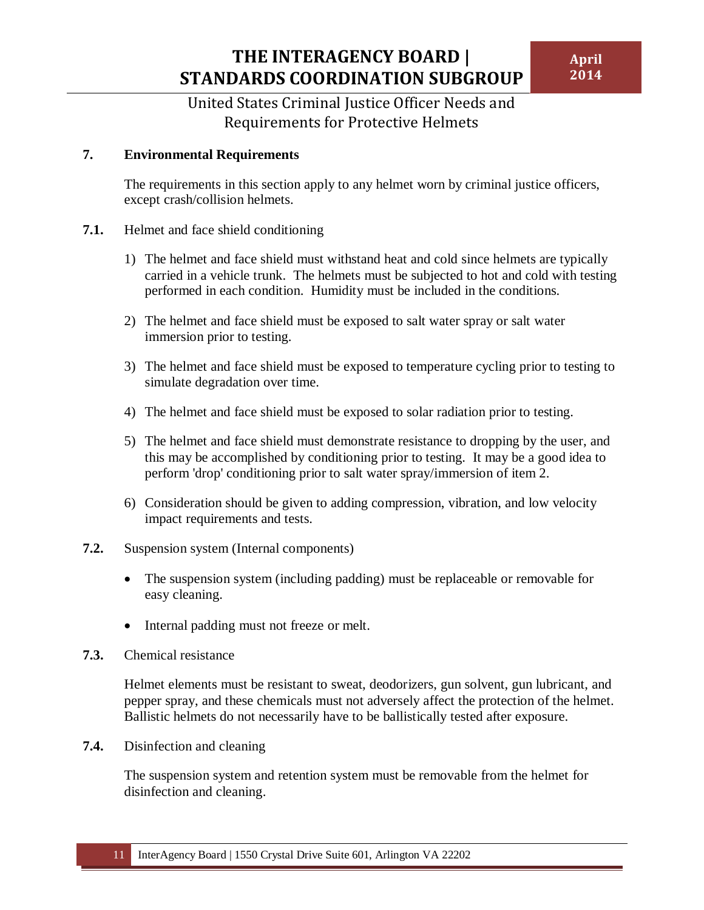#### <span id="page-13-0"></span>**7. Environmental Requirements**

The requirements in this section apply to any helmet worn by criminal justice officers, except crash/collision helmets.

- <span id="page-13-1"></span>**7.1.** Helmet and face shield conditioning
	- 1) The helmet and face shield must withstand heat and cold since helmets are typically carried in a vehicle trunk. The helmets must be subjected to hot and cold with testing performed in each condition. Humidity must be included in the conditions.
	- 2) The helmet and face shield must be exposed to salt water spray or salt water immersion prior to testing.
	- 3) The helmet and face shield must be exposed to temperature cycling prior to testing to simulate degradation over time.
	- 4) The helmet and face shield must be exposed to solar radiation prior to testing.
	- 5) The helmet and face shield must demonstrate resistance to dropping by the user, and this may be accomplished by conditioning prior to testing. It may be a good idea to perform 'drop' conditioning prior to salt water spray/immersion of item 2.
	- 6) Consideration should be given to adding compression, vibration, and low velocity impact requirements and tests.
- <span id="page-13-2"></span>**7.2.** Suspension system (Internal components)
	- The suspension system (including padding) must be replaceable or removable for easy cleaning.
	- Internal padding must not freeze or melt.
- <span id="page-13-3"></span>**7.3.** Chemical resistance

Helmet elements must be resistant to sweat, deodorizers, gun solvent, gun lubricant, and pepper spray, and these chemicals must not adversely affect the protection of the helmet. Ballistic helmets do not necessarily have to be ballistically tested after exposure.

<span id="page-13-4"></span>**7.4.** Disinfection and cleaning

The suspension system and retention system must be removable from the helmet for disinfection and cleaning.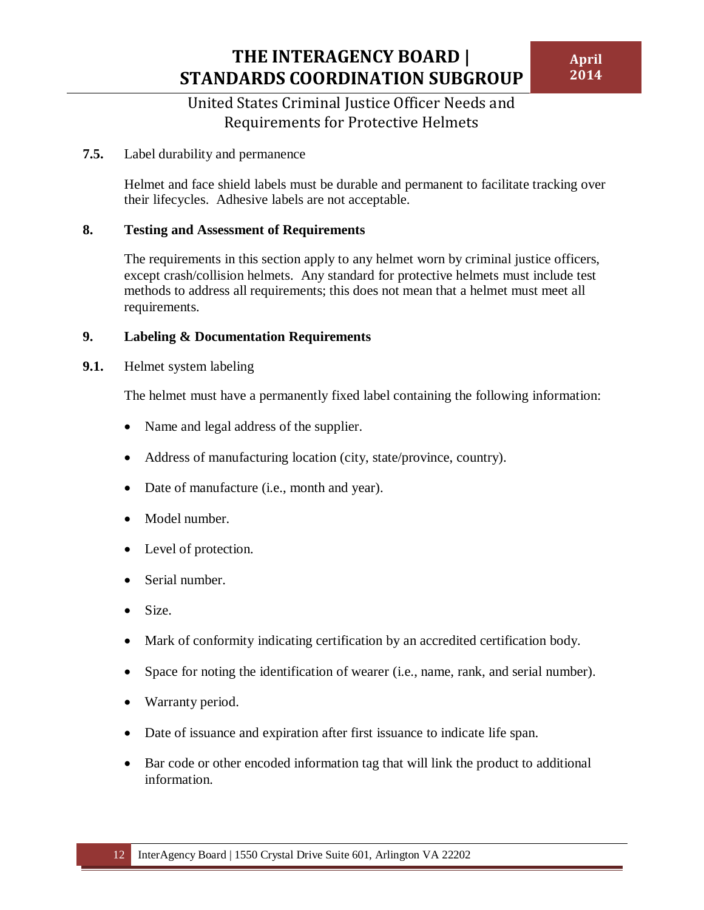### United States Criminal Justice Officer Needs and Requirements for Protective Helmets

#### <span id="page-14-0"></span>**7.5.** Label durability and permanence

Helmet and face shield labels must be durable and permanent to facilitate tracking over their lifecycles. Adhesive labels are not acceptable.

#### <span id="page-14-1"></span>**8. Testing and Assessment of Requirements**

The requirements in this section apply to any helmet worn by criminal justice officers, except crash/collision helmets. Any standard for protective helmets must include test methods to address all requirements; this does not mean that a helmet must meet all requirements.

#### <span id="page-14-2"></span>**9. Labeling & Documentation Requirements**

<span id="page-14-3"></span>**9.1.** Helmet system labeling

The helmet must have a permanently fixed label containing the following information:

- Name and legal address of the supplier.
- Address of manufacturing location (city, state/province, country).
- Date of manufacture (i.e., month and year).
- Model number.
- Level of protection.
- Serial number.
- Size.
- Mark of conformity indicating certification by an accredited certification body.
- Space for noting the identification of wearer (i.e., name, rank, and serial number).
- Warranty period.
- Date of issuance and expiration after first issuance to indicate life span.
- Bar code or other encoded information tag that will link the product to additional information.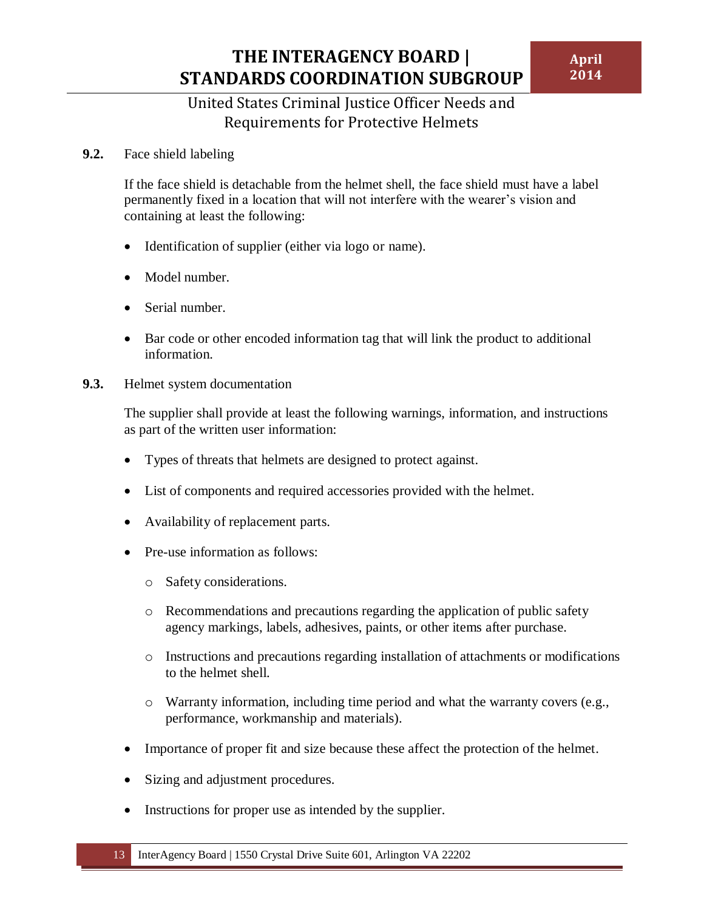<span id="page-15-0"></span>**9.2.** Face shield labeling

If the face shield is detachable from the helmet shell, the face shield must have a label permanently fixed in a location that will not interfere with the wearer's vision and containing at least the following:

- Identification of supplier (either via logo or name).
- Model number.
- Serial number.
- Bar code or other encoded information tag that will link the product to additional information.
- <span id="page-15-1"></span>**9.3.** Helmet system documentation

The supplier shall provide at least the following warnings, information, and instructions as part of the written user information:

- Types of threats that helmets are designed to protect against.
- List of components and required accessories provided with the helmet.
- Availability of replacement parts.
- Pre-use information as follows:
	- o Safety considerations.
	- o Recommendations and precautions regarding the application of public safety agency markings, labels, adhesives, paints, or other items after purchase.
	- o Instructions and precautions regarding installation of attachments or modifications to the helmet shell.
	- $\circ$  Warranty information, including time period and what the warranty covers (e.g., performance, workmanship and materials).
- Importance of proper fit and size because these affect the protection of the helmet.
- Sizing and adjustment procedures.
- Instructions for proper use as intended by the supplier.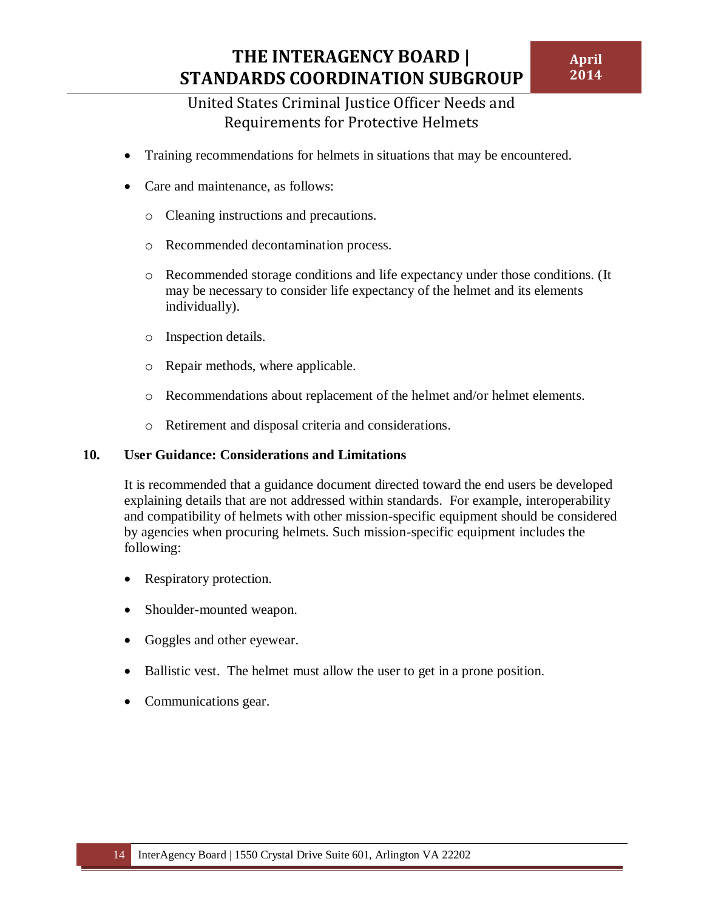- Training recommendations for helmets in situations that may be encountered.
- Care and maintenance, as follows:
	- o Cleaning instructions and precautions.
	- o Recommended decontamination process.
	- o Recommended storage conditions and life expectancy under those conditions. (It may be necessary to consider life expectancy of the helmet and its elements individually).
	- o Inspection details.
	- o Repair methods, where applicable.
	- o Recommendations about replacement of the helmet and/or helmet elements.
	- o Retirement and disposal criteria and considerations.

#### <span id="page-16-0"></span>**10. User Guidance: Considerations and Limitations**

It is recommended that a guidance document directed toward the end users be developed explaining details that are not addressed within standards. For example, interoperability and compatibility of helmets with other mission-specific equipment should be considered by agencies when procuring helmets. Such mission-specific equipment includes the following:

- Respiratory protection.
- Shoulder-mounted weapon.
- Goggles and other eyewear.
- Ballistic vest. The helmet must allow the user to get in a prone position.
- Communications gear.